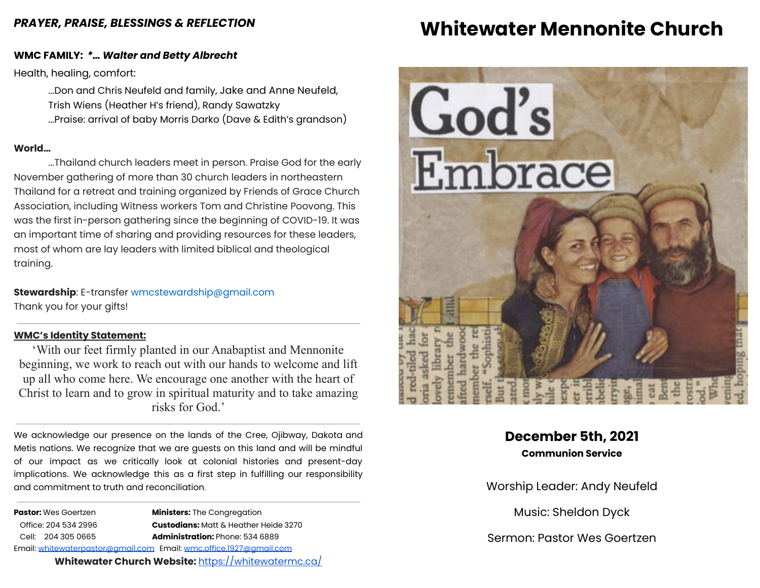### *PRAYER, PRAISE, BLESSINGS & REFLECTION*

### **WMC FAMILY:** *\*… Walter and Betty Albrecht*

Health, healing, comfort:

...Don and Chris Neufeld and family, Jake and Anne Neufeld, Trish Wiens (Heather H's friend), Randy Sawatzky ...Praise: arrival of baby Morris Darko (Dave & Edith's grandson)

### **World…**

...Thailand church leaders meet in person. Praise God for the early November gathering of more than 30 church leaders in northeastern Thailand for a retreat and training organized by Friends of Grace Church Association, including Witness workers Tom and Christine Poovong. This was the first in-person gathering since the beginning of COVID-19. It was an important time of sharing and providing resources for these leaders, most of whom are lay leaders with limited biblical and theological training.

**Stewardship**: E-transfer [wmcstewardship@gmail.com](mailto:wmcstewardship@gmail.com) Thank you for your gifts!

#### **WMC's Identity Statement:**

'With our feet firmly planted in our Anabaptist and Mennonite beginning, we work to reach out with our hands to welcome and lift up all who come here. We encourage one another with the heart of Christ to learn and to grow in spiritual maturity and to take amazing risks for God.'

We acknowledge our presence on the lands of the Cree, Ojibway, Dakota and Metis nations. We recognize that we are guests on this land and will be mindful of our impact as we critically look at colonial histories and present-day implications. We acknowledge this as a first step in fulfilling our responsibility and commitment to truth and reconciliation.

**Pastor:** Wes Goertzen **Ministers:** The Congregation Office: 204 534 2996 **Custodians:** Matt & Heather Heide 3270 Cell: 204 305 0665 **Administration:** Phone: 534 6889 Email: [whitewaterpastor@gmail.com](mailto:whitewaterpastor@gmail.com) Email: [wmc.office.1927@gmail.com](mailto:wmc.office.1927@gmail.com) **Whitewater Church Website:** <https://whitewatermc.ca/>

## **Whitewater Mennonite Church**



## **December 5th, 2021 Communion Service**

Worship Leader: Andy Neufeld

Music: Sheldon Dyck

Sermon: Pastor Wes Goertzen